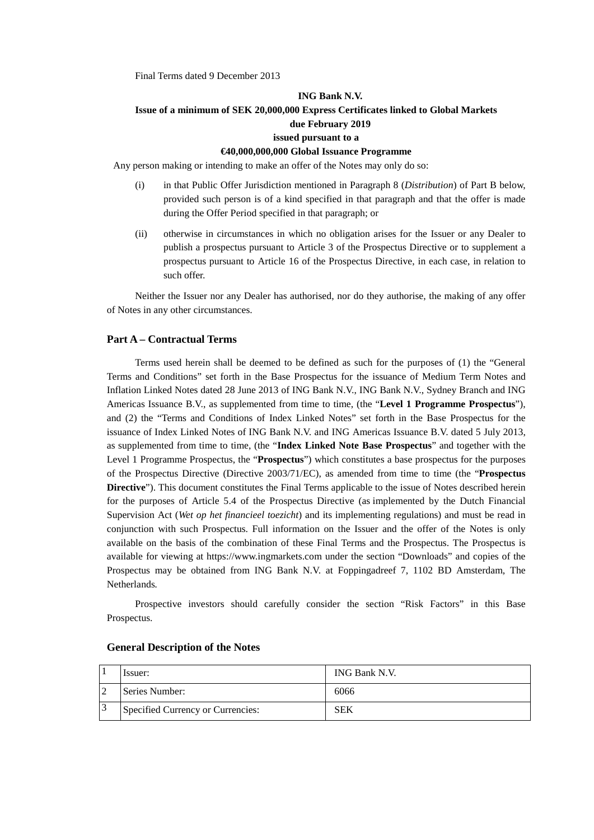Final Terms dated 9 December 2013

### **ING Bank N.V. Issue of a minimum of SEK 20,000,000 Express Certificates linked to Global Markets due February 2019 issued pursuant to a**

#### **€40,000,000,000 Global Issuance Programme**

Any person making or intending to make an offer of the Notes may only do so:

- (i) in that Public Offer Jurisdiction mentioned in Paragraph 8 (*Distribution*) of Part B below, provided such person is of a kind specified in that paragraph and that the offer is made during the Offer Period specified in that paragraph; or
- (ii) otherwise in circumstances in which no obligation arises for the Issuer or any Dealer to publish a prospectus pursuant to Article 3 of the Prospectus Directive or to supplement a prospectus pursuant to Article 16 of the Prospectus Directive, in each case, in relation to such offer.

Neither the Issuer nor any Dealer has authorised, nor do they authorise, the making of any offer of Notes in any other circumstances.

#### **Part A – Contractual Terms**

Terms used herein shall be deemed to be defined as such for the purposes of (1) the "General Terms and Conditions" set forth in the Base Prospectus for the issuance of Medium Term Notes and Inflation Linked Notes dated 28 June 2013 of ING Bank N.V., ING Bank N.V., Sydney Branch and ING Americas Issuance B.V., as supplemented from time to time, (the "**Level 1 Programme Prospectus**"), and (2) the "Terms and Conditions of Index Linked Notes" set forth in the Base Prospectus for the issuance of Index Linked Notes of ING Bank N.V. and ING Americas Issuance B.V. dated 5 July 2013, as supplemented from time to time, (the "**Index Linked Note Base Prospectus**" and together with the Level 1 Programme Prospectus, the "**Prospectus**") which constitutes a base prospectus for the purposes of the Prospectus Directive (Directive 2003/71/EC), as amended from time to time (the "**Prospectus Directive**"). This document constitutes the Final Terms applicable to the issue of Notes described herein for the purposes of Article 5.4 of the Prospectus Directive (as implemented by the Dutch Financial Supervision Act (*Wet op het financieel toezicht*) and its implementing regulations) and must be read in conjunction with such Prospectus. Full information on the Issuer and the offer of the Notes is only available on the basis of the combination of these Final Terms and the Prospectus. The Prospectus is available for viewing at https://www.ingmarkets.com under the section "Downloads" and copies of the Prospectus may be obtained from ING Bank N.V. at Foppingadreef 7, 1102 BD Amsterdam, The Netherlands*.*

Prospective investors should carefully consider the section "Risk Factors" in this Base Prospectus.

| Issuer:                           | ING Bank N.V. |
|-----------------------------------|---------------|
| Series Number:                    | 6066          |
| Specified Currency or Currencies: | SEK           |

#### **General Description of the Notes**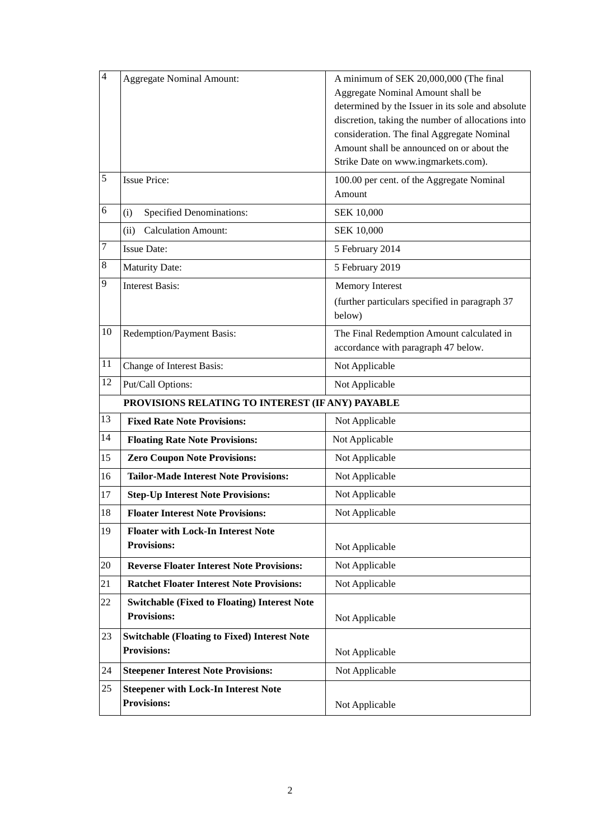| $\overline{4}$ | <b>Aggregate Nominal Amount:</b>                                          | A minimum of SEK 20,000,000 (The final<br>Aggregate Nominal Amount shall be<br>determined by the Issuer in its sole and absolute<br>discretion, taking the number of allocations into<br>consideration. The final Aggregate Nominal<br>Amount shall be announced on or about the<br>Strike Date on www.ingmarkets.com). |
|----------------|---------------------------------------------------------------------------|-------------------------------------------------------------------------------------------------------------------------------------------------------------------------------------------------------------------------------------------------------------------------------------------------------------------------|
| 5              | <b>Issue Price:</b>                                                       | 100.00 per cent. of the Aggregate Nominal<br>Amount                                                                                                                                                                                                                                                                     |
| 6              | <b>Specified Denominations:</b><br>(i)                                    | <b>SEK 10,000</b>                                                                                                                                                                                                                                                                                                       |
|                | <b>Calculation Amount:</b><br>(ii)                                        | <b>SEK 10,000</b>                                                                                                                                                                                                                                                                                                       |
| 7              | <b>Issue Date:</b>                                                        | 5 February 2014                                                                                                                                                                                                                                                                                                         |
| $\,8\,$        | <b>Maturity Date:</b>                                                     | 5 February 2019                                                                                                                                                                                                                                                                                                         |
| 9              | <b>Interest Basis:</b>                                                    | <b>Memory Interest</b><br>(further particulars specified in paragraph 37<br>below)                                                                                                                                                                                                                                      |
| 10             | Redemption/Payment Basis:                                                 | The Final Redemption Amount calculated in<br>accordance with paragraph 47 below.                                                                                                                                                                                                                                        |
| 11             | Change of Interest Basis:                                                 | Not Applicable                                                                                                                                                                                                                                                                                                          |
| 12             | Put/Call Options:                                                         | Not Applicable                                                                                                                                                                                                                                                                                                          |
|                | PROVISIONS RELATING TO INTEREST (IF ANY) PAYABLE                          |                                                                                                                                                                                                                                                                                                                         |
| 13             | <b>Fixed Rate Note Provisions:</b>                                        | Not Applicable                                                                                                                                                                                                                                                                                                          |
| 14             | <b>Floating Rate Note Provisions:</b>                                     | Not Applicable                                                                                                                                                                                                                                                                                                          |
| 15             | <b>Zero Coupon Note Provisions:</b>                                       | Not Applicable                                                                                                                                                                                                                                                                                                          |
| 16             | <b>Tailor-Made Interest Note Provisions:</b>                              | Not Applicable                                                                                                                                                                                                                                                                                                          |
| 17             | <b>Step-Up Interest Note Provisions:</b>                                  | Not Applicable                                                                                                                                                                                                                                                                                                          |
| 18             | <b>Floater Interest Note Provisions:</b>                                  | Not Applicable                                                                                                                                                                                                                                                                                                          |
| 19             | <b>Floater with Lock-In Interest Note</b><br><b>Provisions:</b>           | Not Applicable                                                                                                                                                                                                                                                                                                          |
| 20             | <b>Reverse Floater Interest Note Provisions:</b>                          | Not Applicable                                                                                                                                                                                                                                                                                                          |
| 21             | <b>Ratchet Floater Interest Note Provisions:</b>                          | Not Applicable                                                                                                                                                                                                                                                                                                          |
| 22             | <b>Switchable (Fixed to Floating) Interest Note</b><br><b>Provisions:</b> | Not Applicable                                                                                                                                                                                                                                                                                                          |
| 23             | <b>Switchable (Floating to Fixed) Interest Note</b><br><b>Provisions:</b> | Not Applicable                                                                                                                                                                                                                                                                                                          |
| 24             | <b>Steepener Interest Note Provisions:</b>                                | Not Applicable                                                                                                                                                                                                                                                                                                          |
| 25             | <b>Steepener with Lock-In Interest Note</b><br><b>Provisions:</b>         | Not Applicable                                                                                                                                                                                                                                                                                                          |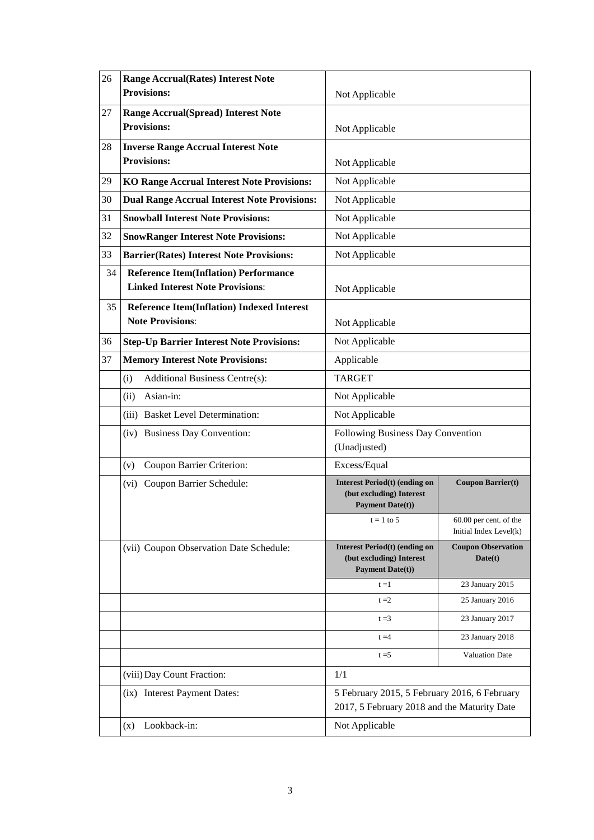| 26 | <b>Range Accrual (Rates) Interest Note</b><br><b>Provisions:</b>                        | Not Applicable                                                                              |                                                    |
|----|-----------------------------------------------------------------------------------------|---------------------------------------------------------------------------------------------|----------------------------------------------------|
| 27 | <b>Range Accrual(Spread) Interest Note</b>                                              |                                                                                             |                                                    |
|    | <b>Provisions:</b>                                                                      | Not Applicable                                                                              |                                                    |
| 28 | <b>Inverse Range Accrual Interest Note</b>                                              |                                                                                             |                                                    |
|    | <b>Provisions:</b>                                                                      | Not Applicable                                                                              |                                                    |
| 29 | <b>KO Range Accrual Interest Note Provisions:</b>                                       | Not Applicable                                                                              |                                                    |
| 30 | <b>Dual Range Accrual Interest Note Provisions:</b>                                     | Not Applicable                                                                              |                                                    |
| 31 | <b>Snowball Interest Note Provisions:</b>                                               | Not Applicable                                                                              |                                                    |
| 32 | <b>SnowRanger Interest Note Provisions:</b>                                             | Not Applicable                                                                              |                                                    |
| 33 | <b>Barrier(Rates) Interest Note Provisions:</b>                                         | Not Applicable                                                                              |                                                    |
| 34 | <b>Reference Item(Inflation) Performance</b><br><b>Linked Interest Note Provisions:</b> | Not Applicable                                                                              |                                                    |
| 35 | <b>Reference Item(Inflation) Indexed Interest</b><br><b>Note Provisions:</b>            | Not Applicable                                                                              |                                                    |
| 36 | <b>Step-Up Barrier Interest Note Provisions:</b>                                        | Not Applicable                                                                              |                                                    |
| 37 | <b>Memory Interest Note Provisions:</b>                                                 | Applicable                                                                                  |                                                    |
|    | Additional Business Centre(s):<br>(i)                                                   | <b>TARGET</b>                                                                               |                                                    |
|    | Asian-in:<br>(ii)                                                                       | Not Applicable                                                                              |                                                    |
|    | (iii) Basket Level Determination:                                                       | Not Applicable                                                                              |                                                    |
|    | (iv) Business Day Convention:                                                           | Following Business Day Convention<br>(Unadjusted)                                           |                                                    |
|    | Coupon Barrier Criterion:<br>(v)                                                        | Excess/Equal                                                                                |                                                    |
|    | Coupon Barrier Schedule:<br>(vi)                                                        | <b>Interest Period(t) (ending on</b><br>(but excluding) Interest<br><b>Payment Date(t))</b> | <b>Coupon Barrier(t)</b>                           |
|    |                                                                                         | $t = 1$ to 5                                                                                | $60.00$ per cent. of the<br>Initial Index Level(k) |
|    | (vii) Coupon Observation Date Schedule:                                                 | <b>Interest Period(t) (ending on</b><br>(but excluding) Interest<br><b>Payment Date(t))</b> | <b>Coupon Observation</b><br>Date(t)               |
|    |                                                                                         | $t = 1$                                                                                     | 23 January 2015                                    |
|    |                                                                                         | $t = 2$                                                                                     | 25 January 2016                                    |
|    |                                                                                         | $t = 3$                                                                                     | 23 January 2017                                    |
|    |                                                                                         | $t = 4$                                                                                     | 23 January 2018                                    |
|    |                                                                                         | $t = 5$                                                                                     | <b>Valuation Date</b>                              |
|    | (viii) Day Count Fraction:                                                              | 1/1                                                                                         |                                                    |
|    | (ix) Interest Payment Dates:                                                            | 5 February 2015, 5 February 2016, 6 February<br>2017, 5 February 2018 and the Maturity Date |                                                    |
|    | Lookback-in:<br>(x)                                                                     | Not Applicable                                                                              |                                                    |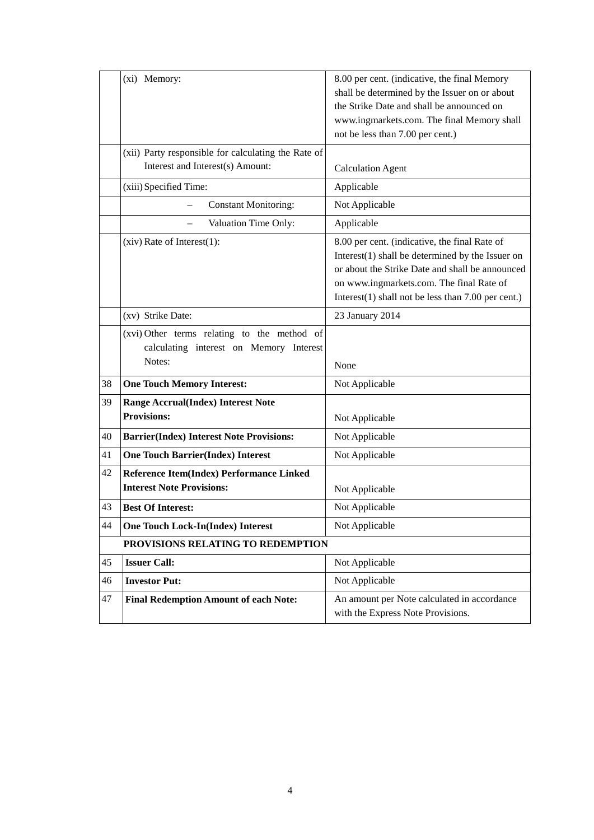|    | (xi) Memory:                                                                                     | 8.00 per cent. (indicative, the final Memory<br>shall be determined by the Issuer on or about<br>the Strike Date and shall be announced on<br>www.ingmarkets.com. The final Memory shall<br>not be less than 7.00 per cent.)                                 |
|----|--------------------------------------------------------------------------------------------------|--------------------------------------------------------------------------------------------------------------------------------------------------------------------------------------------------------------------------------------------------------------|
|    | (xii) Party responsible for calculating the Rate of<br>Interest and Interest(s) Amount:          | <b>Calculation Agent</b>                                                                                                                                                                                                                                     |
|    | (xiii) Specified Time:                                                                           | Applicable                                                                                                                                                                                                                                                   |
|    | <b>Constant Monitoring:</b>                                                                      | Not Applicable                                                                                                                                                                                                                                               |
|    | Valuation Time Only:                                                                             | Applicable                                                                                                                                                                                                                                                   |
|    | $(xiv)$ Rate of Interest $(1)$ :                                                                 | 8.00 per cent. (indicative, the final Rate of<br>Interest $(1)$ shall be determined by the Issuer on<br>or about the Strike Date and shall be announced<br>on www.ingmarkets.com. The final Rate of<br>Interest $(1)$ shall not be less than 7.00 per cent.) |
|    | (xv) Strike Date:                                                                                | 23 January 2014                                                                                                                                                                                                                                              |
|    | (xvi) Other terms relating to the method of<br>calculating interest on Memory Interest<br>Notes: | None                                                                                                                                                                                                                                                         |
| 38 | <b>One Touch Memory Interest:</b>                                                                | Not Applicable                                                                                                                                                                                                                                               |
| 39 | <b>Range Accrual(Index) Interest Note</b><br><b>Provisions:</b>                                  | Not Applicable                                                                                                                                                                                                                                               |
| 40 | <b>Barrier(Index) Interest Note Provisions:</b>                                                  | Not Applicable                                                                                                                                                                                                                                               |
| 41 | <b>One Touch Barrier(Index) Interest</b>                                                         | Not Applicable                                                                                                                                                                                                                                               |
| 42 | Reference Item(Index) Performance Linked<br><b>Interest Note Provisions:</b>                     | Not Applicable                                                                                                                                                                                                                                               |
| 43 | <b>Best Of Interest:</b>                                                                         | Not Applicable                                                                                                                                                                                                                                               |
| 44 | <b>One Touch Lock-In(Index) Interest</b>                                                         | Not Applicable                                                                                                                                                                                                                                               |
|    | PROVISIONS RELATING TO REDEMPTION                                                                |                                                                                                                                                                                                                                                              |
| 45 | <b>Issuer Call:</b>                                                                              | Not Applicable                                                                                                                                                                                                                                               |
| 46 | <b>Investor Put:</b>                                                                             | Not Applicable                                                                                                                                                                                                                                               |
| 47 | <b>Final Redemption Amount of each Note:</b>                                                     | An amount per Note calculated in accordance<br>with the Express Note Provisions.                                                                                                                                                                             |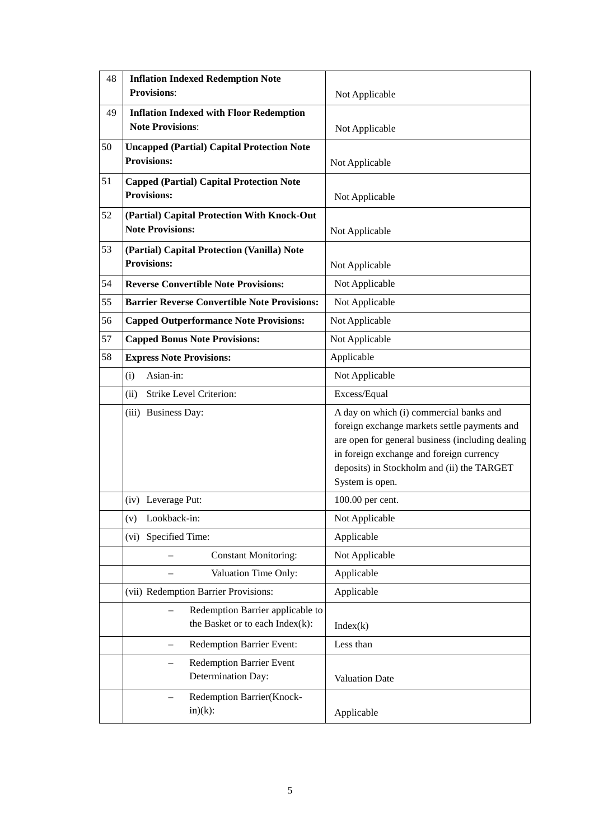| 48 | <b>Inflation Indexed Redemption Note</b><br><b>Provisions:</b>                    | Not Applicable                                                                                                                                                                                                                                           |
|----|-----------------------------------------------------------------------------------|----------------------------------------------------------------------------------------------------------------------------------------------------------------------------------------------------------------------------------------------------------|
| 49 | <b>Inflation Indexed with Floor Redemption</b><br><b>Note Provisions:</b>         | Not Applicable                                                                                                                                                                                                                                           |
| 50 | <b>Uncapped (Partial) Capital Protection Note</b><br><b>Provisions:</b>           | Not Applicable                                                                                                                                                                                                                                           |
| 51 | <b>Capped (Partial) Capital Protection Note</b><br><b>Provisions:</b>             | Not Applicable                                                                                                                                                                                                                                           |
| 52 | (Partial) Capital Protection With Knock-Out<br><b>Note Provisions:</b>            | Not Applicable                                                                                                                                                                                                                                           |
| 53 | (Partial) Capital Protection (Vanilla) Note<br><b>Provisions:</b>                 | Not Applicable                                                                                                                                                                                                                                           |
| 54 | <b>Reverse Convertible Note Provisions:</b>                                       | Not Applicable                                                                                                                                                                                                                                           |
| 55 | <b>Barrier Reverse Convertible Note Provisions:</b>                               | Not Applicable                                                                                                                                                                                                                                           |
| 56 | <b>Capped Outperformance Note Provisions:</b>                                     | Not Applicable                                                                                                                                                                                                                                           |
| 57 | <b>Capped Bonus Note Provisions:</b>                                              | Not Applicable                                                                                                                                                                                                                                           |
| 58 | <b>Express Note Provisions:</b>                                                   | Applicable                                                                                                                                                                                                                                               |
|    | Asian-in:<br>(i)                                                                  | Not Applicable                                                                                                                                                                                                                                           |
|    | Strike Level Criterion:<br>(ii)                                                   | Excess/Equal                                                                                                                                                                                                                                             |
|    | (iii) Business Day:                                                               | A day on which (i) commercial banks and<br>foreign exchange markets settle payments and<br>are open for general business (including dealing<br>in foreign exchange and foreign currency<br>deposits) in Stockholm and (ii) the TARGET<br>System is open. |
|    | (iv) Leverage Put:                                                                | 100.00 per cent.                                                                                                                                                                                                                                         |
|    | (v) Lookback-in:                                                                  | Not Applicable                                                                                                                                                                                                                                           |
|    | Specified Time:<br>(vi)                                                           | Applicable                                                                                                                                                                                                                                               |
|    | <b>Constant Monitoring:</b>                                                       | Not Applicable                                                                                                                                                                                                                                           |
|    | Valuation Time Only:                                                              | Applicable                                                                                                                                                                                                                                               |
|    | (vii) Redemption Barrier Provisions:                                              | Applicable                                                                                                                                                                                                                                               |
|    | Redemption Barrier applicable to<br>the Basket or to each $Index(k)$ :            | Index(k)                                                                                                                                                                                                                                                 |
|    | <b>Redemption Barrier Event:</b><br>$\overline{\phantom{0}}$                      | Less than                                                                                                                                                                                                                                                |
|    | <b>Redemption Barrier Event</b><br>$\overline{\phantom{0}}$<br>Determination Day: | Valuation Date                                                                                                                                                                                                                                           |
|    | Redemption Barrier(Knock-<br>$in)(k)$ :                                           | Applicable                                                                                                                                                                                                                                               |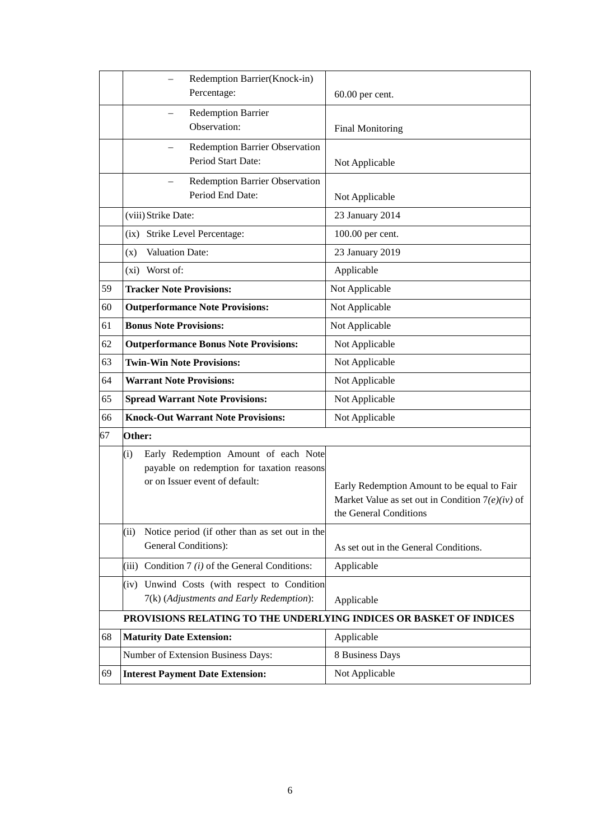|    | Redemption Barrier(Knock-in)                                                                                                |                                                                                                                             |
|----|-----------------------------------------------------------------------------------------------------------------------------|-----------------------------------------------------------------------------------------------------------------------------|
|    | Percentage:                                                                                                                 | 60.00 per cent.                                                                                                             |
|    | Redemption Barrier                                                                                                          |                                                                                                                             |
|    | Observation:                                                                                                                | <b>Final Monitoring</b>                                                                                                     |
|    | Redemption Barrier Observation<br>Period Start Date:                                                                        | Not Applicable                                                                                                              |
|    | Redemption Barrier Observation<br>Period End Date:                                                                          | Not Applicable                                                                                                              |
|    | (viii) Strike Date:                                                                                                         | 23 January 2014                                                                                                             |
|    | (ix) Strike Level Percentage:                                                                                               | 100.00 per cent.                                                                                                            |
|    | <b>Valuation Date:</b><br>(x)                                                                                               | 23 January 2019                                                                                                             |
|    | (xi) Worst of:                                                                                                              | Applicable                                                                                                                  |
| 59 | <b>Tracker Note Provisions:</b>                                                                                             | Not Applicable                                                                                                              |
| 60 | <b>Outperformance Note Provisions:</b>                                                                                      | Not Applicable                                                                                                              |
| 61 | <b>Bonus Note Provisions:</b>                                                                                               | Not Applicable                                                                                                              |
| 62 | <b>Outperformance Bonus Note Provisions:</b>                                                                                | Not Applicable                                                                                                              |
| 63 | <b>Twin-Win Note Provisions:</b>                                                                                            | Not Applicable                                                                                                              |
| 64 | <b>Warrant Note Provisions:</b>                                                                                             | Not Applicable                                                                                                              |
| 65 | <b>Spread Warrant Note Provisions:</b>                                                                                      | Not Applicable                                                                                                              |
| 66 | <b>Knock-Out Warrant Note Provisions:</b>                                                                                   | Not Applicable                                                                                                              |
| 67 | Other:                                                                                                                      |                                                                                                                             |
|    | Early Redemption Amount of each Note<br>(i)<br>payable on redemption for taxation reasons<br>or on Issuer event of default: | Early Redemption Amount to be equal to Fair<br>Market Value as set out in Condition $7(e)(iv)$ of<br>the General Conditions |
|    | Notice period (if other than as set out in the<br>(ii)<br>General Conditions):                                              | As set out in the General Conditions.                                                                                       |
|    | Condition 7 $(i)$ of the General Conditions:<br>(iii)                                                                       | Applicable                                                                                                                  |
|    | Unwind Costs (with respect to Condition<br>(iv)<br>7(k) (Adjustments and Early Redemption):                                 | Applicable                                                                                                                  |
|    | PROVISIONS RELATING TO THE UNDERLYING INDICES OR BASKET OF INDICES                                                          |                                                                                                                             |
| 68 | <b>Maturity Date Extension:</b>                                                                                             | Applicable                                                                                                                  |
|    | Number of Extension Business Days:                                                                                          | 8 Business Days                                                                                                             |
| 69 | <b>Interest Payment Date Extension:</b>                                                                                     | Not Applicable                                                                                                              |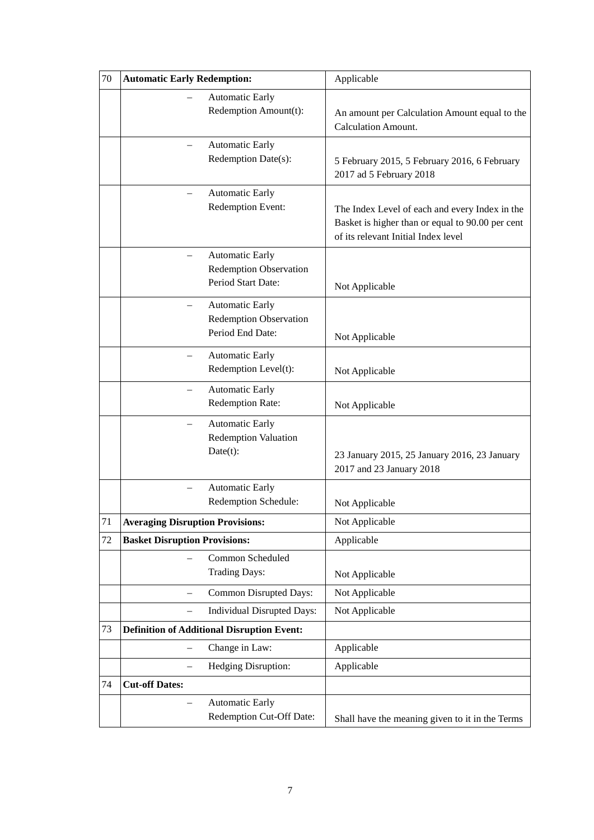| 70 | <b>Automatic Early Redemption:</b>                                            | Applicable                                                                                                                                |
|----|-------------------------------------------------------------------------------|-------------------------------------------------------------------------------------------------------------------------------------------|
|    | <b>Automatic Early</b><br>Redemption Amount(t):                               | An amount per Calculation Amount equal to the<br><b>Calculation Amount.</b>                                                               |
|    | <b>Automatic Early</b><br>Redemption Date(s):                                 | 5 February 2015, 5 February 2016, 6 February<br>2017 ad 5 February 2018                                                                   |
|    | <b>Automatic Early</b><br>Redemption Event:                                   | The Index Level of each and every Index in the<br>Basket is higher than or equal to 90.00 per cent<br>of its relevant Initial Index level |
|    | <b>Automatic Early</b><br><b>Redemption Observation</b><br>Period Start Date: | Not Applicable                                                                                                                            |
|    | <b>Automatic Early</b><br><b>Redemption Observation</b><br>Period End Date:   | Not Applicable                                                                                                                            |
|    | <b>Automatic Early</b><br>Redemption Level(t):                                | Not Applicable                                                                                                                            |
|    | <b>Automatic Early</b><br>Redemption Rate:                                    | Not Applicable                                                                                                                            |
|    | <b>Automatic Early</b><br>Redemption Valuation<br>Date(t):                    | 23 January 2015, 25 January 2016, 23 January<br>2017 and 23 January 2018                                                                  |
|    | <b>Automatic Early</b><br>Redemption Schedule:                                | Not Applicable                                                                                                                            |
| 71 | <b>Averaging Disruption Provisions:</b>                                       | Not Applicable                                                                                                                            |
| 72 | <b>Basket Disruption Provisions:</b>                                          | Applicable                                                                                                                                |
|    | Common Scheduled<br><b>Trading Days:</b>                                      | Not Applicable                                                                                                                            |
|    | Common Disrupted Days:                                                        | Not Applicable                                                                                                                            |
|    | Individual Disrupted Days:                                                    | Not Applicable                                                                                                                            |
| 73 | <b>Definition of Additional Disruption Event:</b>                             |                                                                                                                                           |
|    | Change in Law:                                                                | Applicable                                                                                                                                |
|    | Hedging Disruption:<br>$\overline{\phantom{0}}$                               | Applicable                                                                                                                                |
| 74 | <b>Cut-off Dates:</b>                                                         |                                                                                                                                           |
|    | <b>Automatic Early</b><br>Redemption Cut-Off Date:                            | Shall have the meaning given to it in the Terms                                                                                           |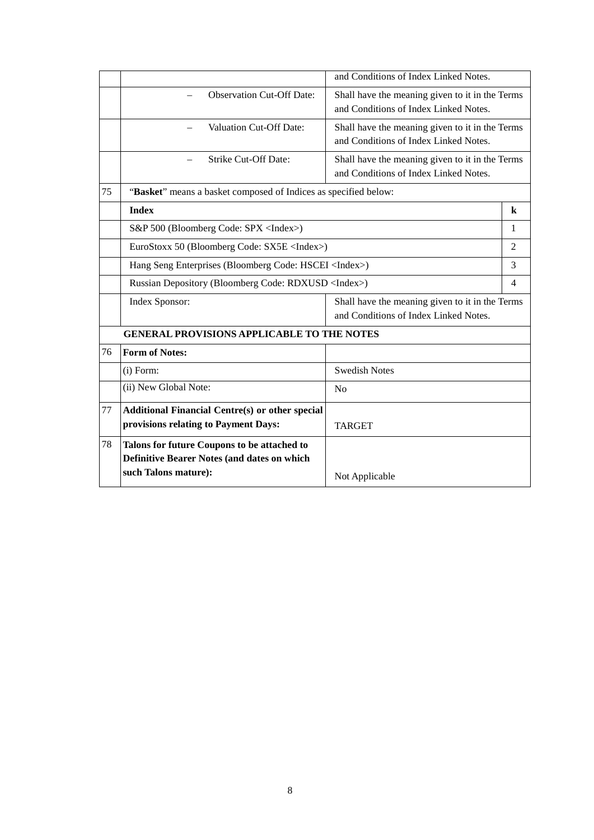|    |                                                                                                   | and Conditions of Index Linked Notes.                                                    |                |
|----|---------------------------------------------------------------------------------------------------|------------------------------------------------------------------------------------------|----------------|
|    | <b>Observation Cut-Off Date:</b>                                                                  | Shall have the meaning given to it in the Terms<br>and Conditions of Index Linked Notes. |                |
|    | <b>Valuation Cut-Off Date:</b><br>$\overline{\phantom{0}}$                                        | Shall have the meaning given to it in the Terms<br>and Conditions of Index Linked Notes. |                |
|    | <b>Strike Cut-Off Date:</b>                                                                       | Shall have the meaning given to it in the Terms<br>and Conditions of Index Linked Notes. |                |
| 75 | "Basket" means a basket composed of Indices as specified below:                                   |                                                                                          |                |
|    | <b>Index</b>                                                                                      |                                                                                          | $\bf k$        |
|    | S&P 500 (Bloomberg Code: SPX <index>)</index>                                                     |                                                                                          | 1              |
|    | EuroStoxx 50 (Bloomberg Code: SX5E <index>)</index>                                               |                                                                                          | $\overline{2}$ |
|    | Hang Seng Enterprises (Bloomberg Code: HSCEI <index>)</index>                                     |                                                                                          | 3              |
|    | Russian Depository (Bloomberg Code: RDXUSD <index>)</index>                                       |                                                                                          | $\overline{4}$ |
|    | Index Sponsor:                                                                                    | Shall have the meaning given to it in the Terms<br>and Conditions of Index Linked Notes. |                |
|    | <b>GENERAL PROVISIONS APPLICABLE TO THE NOTES</b>                                                 |                                                                                          |                |
| 76 | <b>Form of Notes:</b>                                                                             |                                                                                          |                |
|    | $(i)$ Form:                                                                                       | <b>Swedish Notes</b>                                                                     |                |
|    | (ii) New Global Note:                                                                             | N <sub>o</sub>                                                                           |                |
| 77 | <b>Additional Financial Centre(s) or other special</b>                                            |                                                                                          |                |
|    | provisions relating to Payment Days:                                                              | <b>TARGET</b>                                                                            |                |
| 78 | Talons for future Coupons to be attached to<br><b>Definitive Bearer Notes (and dates on which</b> |                                                                                          |                |
|    | such Talons mature):                                                                              | Not Applicable                                                                           |                |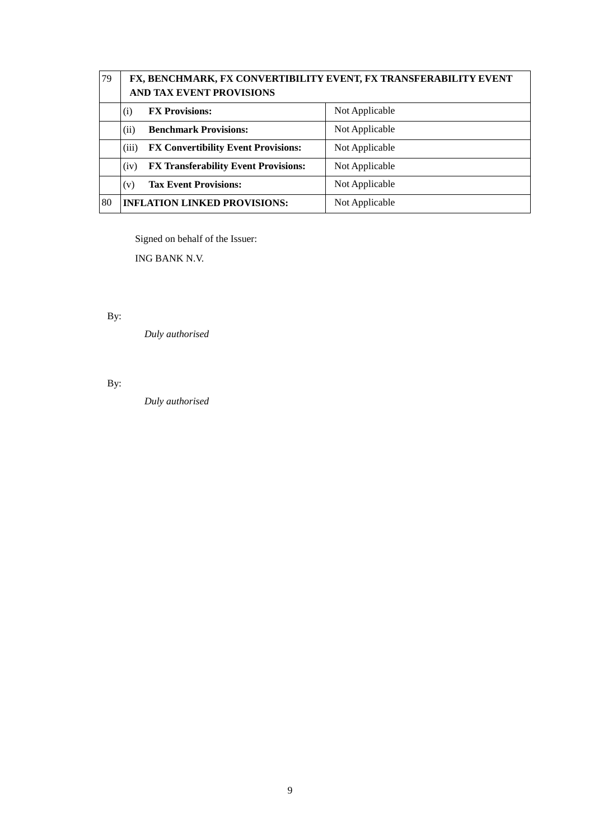| 79 | FX, BENCHMARK, FX CONVERTIBILITY EVENT, FX TRANSFERABILITY EVENT<br><b>AND TAX EVENT PROVISIONS</b> |                |
|----|-----------------------------------------------------------------------------------------------------|----------------|
|    | <b>FX Provisions:</b><br>(i)                                                                        | Not Applicable |
|    | <b>Benchmark Provisions:</b><br>(ii)                                                                | Not Applicable |
|    | (iii)<br><b>FX Convertibility Event Provisions:</b>                                                 | Not Applicable |
|    | <b>FX Transferability Event Provisions:</b><br>(iv)                                                 | Not Applicable |
|    | <b>Tax Event Provisions:</b><br>(v)                                                                 | Not Applicable |
| 80 | <b>INFLATION LINKED PROVISIONS:</b>                                                                 | Not Applicable |

Signed on behalf of the Issuer:

ING BANK N.V.

By:

*Duly authorised*

By:

*Duly authorised*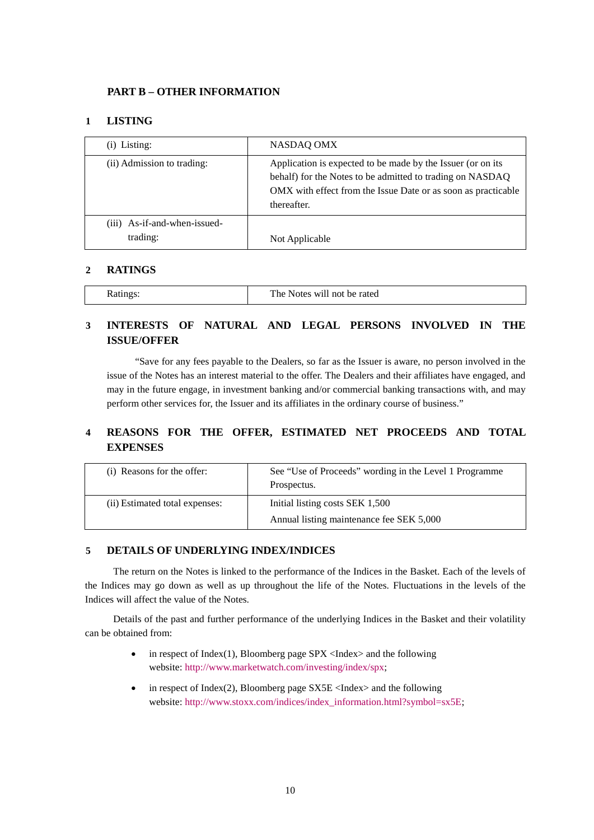### **PART B – OTHER INFORMATION**

### **1 LISTING**

| $(i)$ Listing:                             | NASDAQ OMX                                                                                                                                                                                               |
|--------------------------------------------|----------------------------------------------------------------------------------------------------------------------------------------------------------------------------------------------------------|
| (ii) Admission to trading:                 | Application is expected to be made by the Issuer (or on its<br>behalf) for the Notes to be admitted to trading on NASDAQ<br>OMX with effect from the Issue Date or as soon as practicable<br>thereafter. |
| $(iii)$ As-if-and-when-issued-<br>trading: | Not Applicable                                                                                                                                                                                           |

### **2 RATINGS**

| The Notes will not<br>be rated<br><b>Ratings</b> |
|--------------------------------------------------|
|--------------------------------------------------|

# **3 INTERESTS OF NATURAL AND LEGAL PERSONS INVOLVED IN THE ISSUE/OFFER**

"Save for any fees payable to the Dealers, so far as the Issuer is aware, no person involved in the issue of the Notes has an interest material to the offer. The Dealers and their affiliates have engaged, and may in the future engage, in investment banking and/or commercial banking transactions with, and may perform other services for, the Issuer and its affiliates in the ordinary course of business."

# **4 REASONS FOR THE OFFER, ESTIMATED NET PROCEEDS AND TOTAL EXPENSES**

| (i) Reasons for the offer:     | See "Use of Proceeds" wording in the Level 1 Programme<br>Prospectus.       |
|--------------------------------|-----------------------------------------------------------------------------|
| (ii) Estimated total expenses: | Initial listing costs SEK 1,500<br>Annual listing maintenance fee SEK 5,000 |

#### **5 DETAILS OF UNDERLYING INDEX/INDICES**

The return on the Notes is linked to the performance of the Indices in the Basket. Each of the levels of the Indices may go down as well as up throughout the life of the Notes. Fluctuations in the levels of the Indices will affect the value of the Notes.

Details of the past and further performance of the underlying Indices in the Basket and their volatility can be obtained from:

- in respect of Index(1), Bloomberg page  $SPX \leq Index$  and the following website: [http://www.marketwatch.com/investing/index/spx;](http://www.marketwatch.com/investing/index/spx)
- in respect of Index(2), Bloomberg page  $S X 5E < I$ ndex $>$  and the following website: [http://www.stoxx.com/indices/index\\_information.html?symbol=sx5E;](http://www.stoxx.com/indices/index_information.html?symbol=sx5E)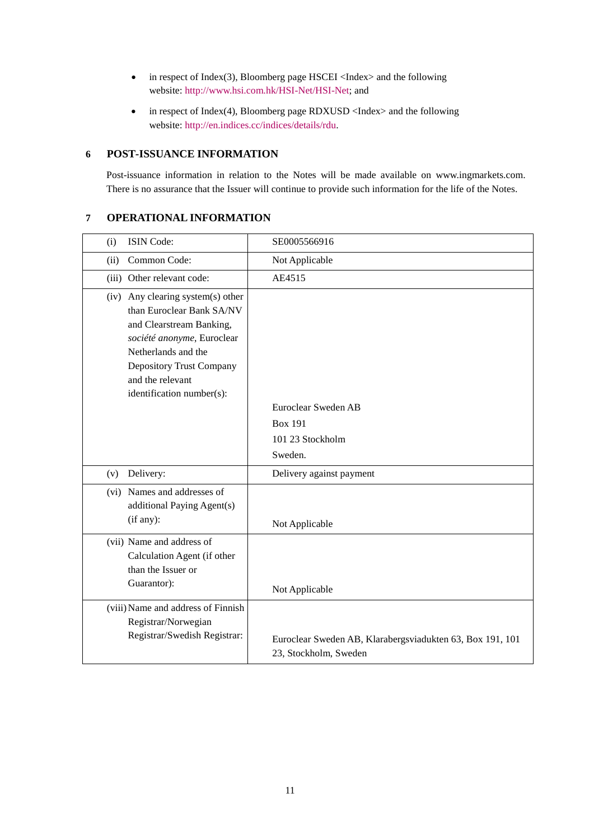- in respect of Index(3), Bloomberg page HSCEI <Index> and the following website: [http://www.hsi.com.hk/HSI-Net/HSI-Net;](http://www.hsi.com.hk/HSI-Net/HSI-Net) and
- in respect of Index(4), Bloomberg page RDXUSD <Index> and the following website: [http://en.indices.cc/indices/details/rdu.](http://en.indices.cc/indices/details/rdu)

### **6 POST-ISSUANCE INFORMATION**

Post-issuance information in relation to the Notes will be made available on www.ingmarkets.com. There is no assurance that the Issuer will continue to provide such information for the life of the Notes.

### **7 OPERATIONAL INFORMATION**

| (i)  | ISIN Code:                                                                                                                                                                                                                          | SE0005566916                                                                       |
|------|-------------------------------------------------------------------------------------------------------------------------------------------------------------------------------------------------------------------------------------|------------------------------------------------------------------------------------|
| (ii) | Common Code:                                                                                                                                                                                                                        | Not Applicable                                                                     |
|      | (iii) Other relevant code:                                                                                                                                                                                                          | AE4515                                                                             |
|      | (iv) Any clearing system(s) other<br>than Euroclear Bank SA/NV<br>and Clearstream Banking,<br>société anonyme, Euroclear<br>Netherlands and the<br><b>Depository Trust Company</b><br>and the relevant<br>identification number(s): | Euroclear Sweden AB<br><b>Box 191</b><br>101 23 Stockholm<br>Sweden.               |
| (v)  | Delivery:                                                                                                                                                                                                                           | Delivery against payment                                                           |
|      | (vi) Names and addresses of<br>additional Paying Agent(s)<br>(if any):                                                                                                                                                              | Not Applicable                                                                     |
|      | (vii) Name and address of<br>Calculation Agent (if other<br>than the Issuer or<br>Guarantor):                                                                                                                                       | Not Applicable                                                                     |
|      | (viii) Name and address of Finnish<br>Registrar/Norwegian<br>Registrar/Swedish Registrar:                                                                                                                                           | Euroclear Sweden AB, Klarabergsviadukten 63, Box 191, 101<br>23, Stockholm, Sweden |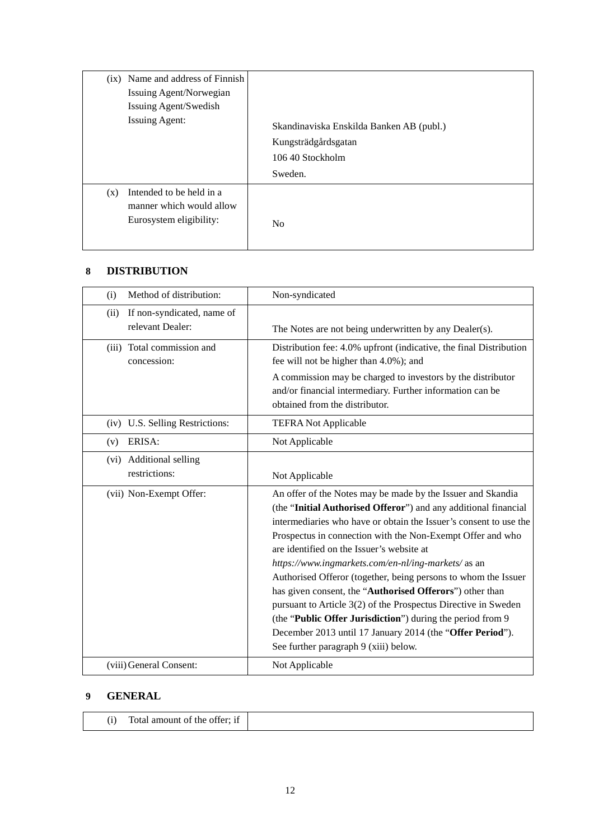| (ix) Name and address of Finnish                                                       | Skandinaviska Enskilda Banken AB (publ.) |
|----------------------------------------------------------------------------------------|------------------------------------------|
| Issuing Agent/Norwegian                                                                | Kungsträdgårdsgatan                      |
| Issuing Agent/Swedish                                                                  | 106 40 Stockholm                         |
| <b>Issuing Agent:</b>                                                                  | Sweden.                                  |
| Intended to be held in a<br>(x)<br>manner which would allow<br>Eurosystem eligibility: | No                                       |

# **8 DISTRIBUTION**

| Method of distribution:<br>(i)                         | Non-syndicated                                                                                                                                                                                                                                                                                                                                                                                                                                                                                                                                                                                                                                                                                                                           |
|--------------------------------------------------------|------------------------------------------------------------------------------------------------------------------------------------------------------------------------------------------------------------------------------------------------------------------------------------------------------------------------------------------------------------------------------------------------------------------------------------------------------------------------------------------------------------------------------------------------------------------------------------------------------------------------------------------------------------------------------------------------------------------------------------------|
| If non-syndicated, name of<br>(ii)<br>relevant Dealer: | The Notes are not being underwritten by any Dealer(s).                                                                                                                                                                                                                                                                                                                                                                                                                                                                                                                                                                                                                                                                                   |
| (iii) Total commission and<br>concession:              | Distribution fee: 4.0% upfront (indicative, the final Distribution<br>fee will not be higher than 4.0%); and<br>A commission may be charged to investors by the distributor<br>and/or financial intermediary. Further information can be<br>obtained from the distributor.                                                                                                                                                                                                                                                                                                                                                                                                                                                               |
| (iv) U.S. Selling Restrictions:                        | <b>TEFRA Not Applicable</b>                                                                                                                                                                                                                                                                                                                                                                                                                                                                                                                                                                                                                                                                                                              |
| ERISA:<br>(v)                                          | Not Applicable                                                                                                                                                                                                                                                                                                                                                                                                                                                                                                                                                                                                                                                                                                                           |
| (vi) Additional selling<br>restrictions:               | Not Applicable                                                                                                                                                                                                                                                                                                                                                                                                                                                                                                                                                                                                                                                                                                                           |
| (vii) Non-Exempt Offer:                                | An offer of the Notes may be made by the Issuer and Skandia<br>(the "Initial Authorised Offeror") and any additional financial<br>intermediaries who have or obtain the Issuer's consent to use the<br>Prospectus in connection with the Non-Exempt Offer and who<br>are identified on the Issuer's website at<br>https://www.ingmarkets.com/en-nl/ing-markets/as an<br>Authorised Offeror (together, being persons to whom the Issuer<br>has given consent, the "Authorised Offerors") other than<br>pursuant to Article 3(2) of the Prospectus Directive in Sweden<br>(the "Public Offer Jurisdiction") during the period from 9<br>December 2013 until 17 January 2014 (the "Offer Period").<br>See further paragraph 9 (xiii) below. |
| (viii) General Consent:                                | Not Applicable                                                                                                                                                                                                                                                                                                                                                                                                                                                                                                                                                                                                                                                                                                                           |

# **9 GENERAL**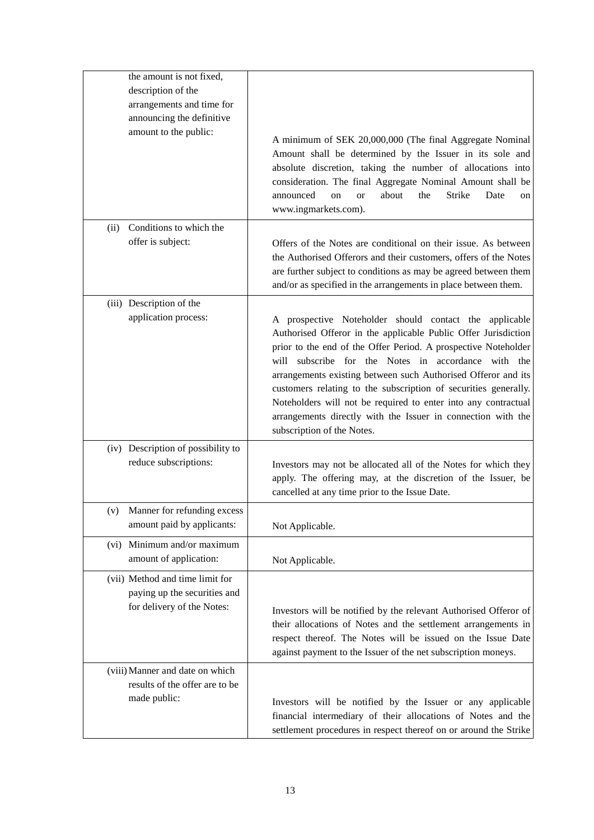| the amount is not fixed,                                                                      |                                                                                                                                                                                                                                                                                                                                                                                                                                                                                                                                                       |
|-----------------------------------------------------------------------------------------------|-------------------------------------------------------------------------------------------------------------------------------------------------------------------------------------------------------------------------------------------------------------------------------------------------------------------------------------------------------------------------------------------------------------------------------------------------------------------------------------------------------------------------------------------------------|
| description of the                                                                            |                                                                                                                                                                                                                                                                                                                                                                                                                                                                                                                                                       |
| arrangements and time for                                                                     |                                                                                                                                                                                                                                                                                                                                                                                                                                                                                                                                                       |
| announcing the definitive                                                                     |                                                                                                                                                                                                                                                                                                                                                                                                                                                                                                                                                       |
| amount to the public:                                                                         | A minimum of SEK 20,000,000 (The final Aggregate Nominal<br>Amount shall be determined by the Issuer in its sole and<br>absolute discretion, taking the number of allocations into<br>consideration. The final Aggregate Nominal Amount shall be<br>announced<br>about<br>the<br>Strike<br>Date<br>on<br><b>or</b><br>on<br>www.ingmarkets.com).                                                                                                                                                                                                      |
| Conditions to which the<br>(ii)                                                               |                                                                                                                                                                                                                                                                                                                                                                                                                                                                                                                                                       |
| offer is subject:                                                                             | Offers of the Notes are conditional on their issue. As between<br>the Authorised Offerors and their customers, offers of the Notes<br>are further subject to conditions as may be agreed between them<br>and/or as specified in the arrangements in place between them.                                                                                                                                                                                                                                                                               |
| (iii) Description of the                                                                      |                                                                                                                                                                                                                                                                                                                                                                                                                                                                                                                                                       |
| application process:                                                                          | A prospective Noteholder should contact the applicable<br>Authorised Offeror in the applicable Public Offer Jurisdiction<br>prior to the end of the Offer Period. A prospective Noteholder<br>will subscribe for the Notes in accordance with the<br>arrangements existing between such Authorised Offeror and its<br>customers relating to the subscription of securities generally.<br>Noteholders will not be required to enter into any contractual<br>arrangements directly with the Issuer in connection with the<br>subscription of the Notes. |
| (iv) Description of possibility to                                                            |                                                                                                                                                                                                                                                                                                                                                                                                                                                                                                                                                       |
| reduce subscriptions:                                                                         | Investors may not be allocated all of the Notes for which they<br>apply. The offering may, at the discretion of the Issuer, be<br>cancelled at any time prior to the Issue Date.                                                                                                                                                                                                                                                                                                                                                                      |
| (v) Manner for refunding excess                                                               |                                                                                                                                                                                                                                                                                                                                                                                                                                                                                                                                                       |
| amount paid by applicants:                                                                    | Not Applicable.                                                                                                                                                                                                                                                                                                                                                                                                                                                                                                                                       |
| (vi) Minimum and/or maximum<br>amount of application:                                         | Not Applicable.                                                                                                                                                                                                                                                                                                                                                                                                                                                                                                                                       |
| (vii) Method and time limit for<br>paying up the securities and<br>for delivery of the Notes: | Investors will be notified by the relevant Authorised Offeror of<br>their allocations of Notes and the settlement arrangements in<br>respect thereof. The Notes will be issued on the Issue Date<br>against payment to the Issuer of the net subscription moneys.                                                                                                                                                                                                                                                                                     |
| (viii) Manner and date on which                                                               |                                                                                                                                                                                                                                                                                                                                                                                                                                                                                                                                                       |
| results of the offer are to be                                                                |                                                                                                                                                                                                                                                                                                                                                                                                                                                                                                                                                       |
| made public:                                                                                  | Investors will be notified by the Issuer or any applicable<br>financial intermediary of their allocations of Notes and the<br>settlement procedures in respect thereof on or around the Strike                                                                                                                                                                                                                                                                                                                                                        |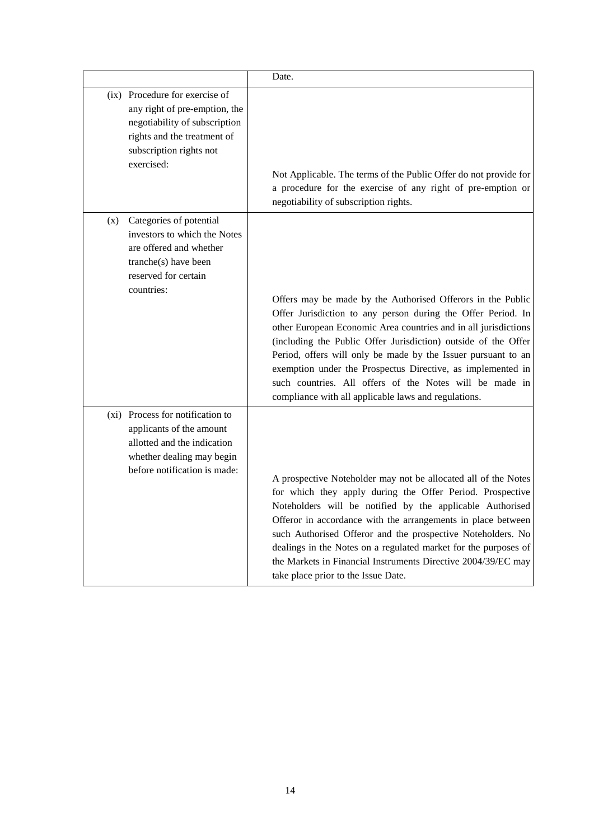|     |                                                                                                                                                                          | Date.                                                                                                                                                                                                                                                                                                                                                                                                                                                                                                               |
|-----|--------------------------------------------------------------------------------------------------------------------------------------------------------------------------|---------------------------------------------------------------------------------------------------------------------------------------------------------------------------------------------------------------------------------------------------------------------------------------------------------------------------------------------------------------------------------------------------------------------------------------------------------------------------------------------------------------------|
|     | (ix) Procedure for exercise of<br>any right of pre-emption, the<br>negotiability of subscription<br>rights and the treatment of<br>subscription rights not<br>exercised: | Not Applicable. The terms of the Public Offer do not provide for<br>a procedure for the exercise of any right of pre-emption or<br>negotiability of subscription rights.                                                                                                                                                                                                                                                                                                                                            |
| (x) | Categories of potential<br>investors to which the Notes<br>are offered and whether<br>tranche(s) have been<br>reserved for certain<br>countries:                         | Offers may be made by the Authorised Offerors in the Public<br>Offer Jurisdiction to any person during the Offer Period. In<br>other European Economic Area countries and in all jurisdictions<br>(including the Public Offer Jurisdiction) outside of the Offer<br>Period, offers will only be made by the Issuer pursuant to an<br>exemption under the Prospectus Directive, as implemented in<br>such countries. All offers of the Notes will be made in<br>compliance with all applicable laws and regulations. |
|     | (xi) Process for notification to<br>applicants of the amount<br>allotted and the indication<br>whether dealing may begin<br>before notification is made:                 | A prospective Noteholder may not be allocated all of the Notes<br>for which they apply during the Offer Period. Prospective<br>Noteholders will be notified by the applicable Authorised<br>Offeror in accordance with the arrangements in place between<br>such Authorised Offeror and the prospective Noteholders. No<br>dealings in the Notes on a regulated market for the purposes of<br>the Markets in Financial Instruments Directive 2004/39/EC may<br>take place prior to the Issue Date.                  |